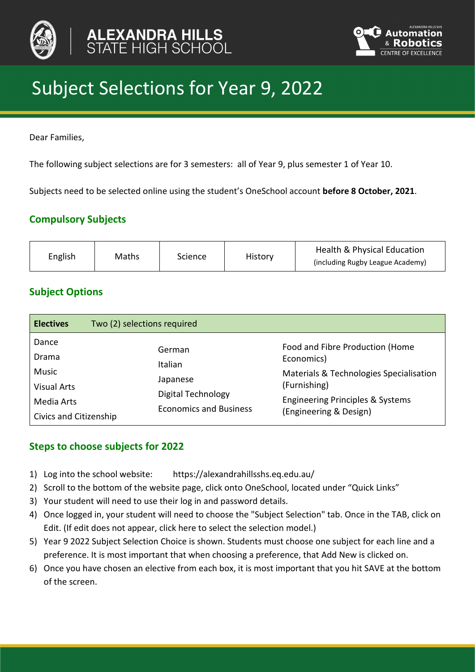



# Subject Selections for Year 9, 2022

Dear Families,

The following subject selections are for 3 semesters: all of Year 9, plus semester 1 of Year 10.

Subjects need to be selected online using the student's OneSchool account **before 8 October, 2021**.

# **Compulsory Subjects**

| English<br>Maths<br>Science<br>History | Health & Physical Education<br>(including Rugby League Academy) |
|----------------------------------------|-----------------------------------------------------------------|
|----------------------------------------|-----------------------------------------------------------------|

# **Subject Options**

| <b>Electives</b>                                                                      | Two (2) selections required                                                                 |                                                                                                                                                                                   |
|---------------------------------------------------------------------------------------|---------------------------------------------------------------------------------------------|-----------------------------------------------------------------------------------------------------------------------------------------------------------------------------------|
| Dance<br>Drama<br>Music<br><b>Visual Arts</b><br>Media Arts<br>Civics and Citizenship | German<br>Italian<br>Japanese<br><b>Digital Technology</b><br><b>Economics and Business</b> | Food and Fibre Production (Home<br>Economics)<br>Materials & Technologies Specialisation<br>(Furnishing)<br><b>Engineering Principles &amp; Systems</b><br>(Engineering & Design) |

# **Steps to choose subjects for 2022**

- 1) Log into the school website: https://alexandrahillsshs.eq.edu.au/
- 2) Scroll to the bottom of the website page, click onto OneSchool, located under "Quick Links"
- 3) Your student will need to use their log in and password details.
- 4) Once logged in, your student will need to choose the "Subject Selection" tab. Once in the TAB, click on Edit. (If edit does not appear, click here to select the selection model.)
- 5) Year 9 2022 Subject Selection Choice is shown. Students must choose one subject for each line and a preference. It is most important that when choosing a preference, that Add New is clicked on.
- 6) Once you have chosen an elective from each box, it is most important that you hit SAVE at the bottom of the screen.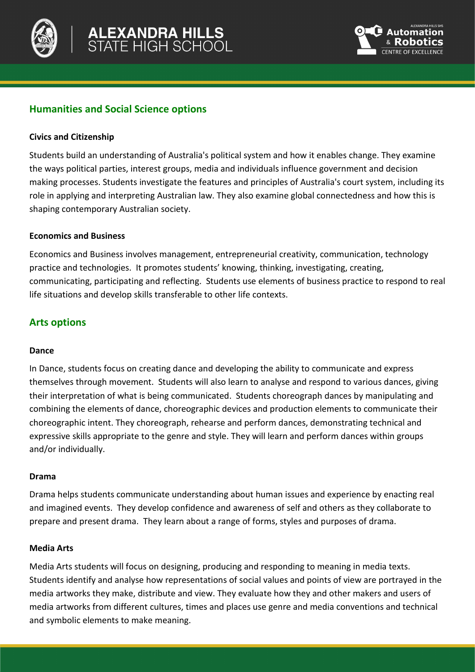



# **Humanities and Social Science options**

## **Civics and Citizenship**

Students build an understanding of Australia's political system and how it enables change. They examine the ways political parties, interest groups, media and individuals influence government and decision making processes. Students investigate the features and principles of Australia's court system, including its role in applying and interpreting Australian law. They also examine global connectedness and how this is shaping contemporary Australian society.

#### **Economics and Business**

Economics and Business involves management, entrepreneurial creativity, communication, technology practice and technologies. It promotes students' knowing, thinking, investigating, creating, communicating, participating and reflecting. Students use elements of business practice to respond to real life situations and develop skills transferable to other life contexts.

## **Arts options**

#### **Dance**

In Dance, students focus on creating dance and developing the ability to communicate and express themselves through movement. Students will also learn to analyse and respond to various dances, giving their interpretation of what is being communicated. Students choreograph dances by manipulating and combining the elements of dance, choreographic devices and production elements to communicate their choreographic intent. They choreograph, rehearse and perform dances, demonstrating technical and expressive skills appropriate to the genre and style. They will learn and perform dances within groups and/or individually.

#### **Drama**

Drama helps students communicate understanding about human issues and experience by enacting real and imagined events. They develop confidence and awareness of self and others as they collaborate to prepare and present drama. They learn about a range of forms, styles and purposes of drama.

#### **Media Arts**

Media Arts students will focus on designing, producing and responding to meaning in media texts. Students identify and analyse how representations of social values and points of view are portrayed in the media artworks they make, distribute and view. They evaluate how they and other makers and users of media artworks from different cultures, times and places use genre and media conventions and technical and symbolic elements to make meaning.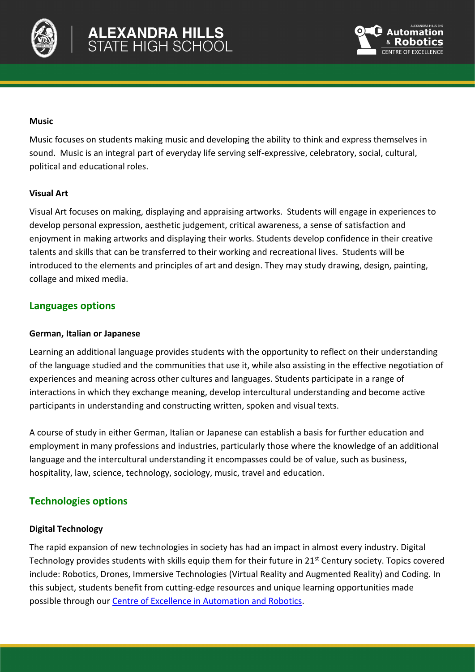



#### **Music**

Music focuses on students making music and developing the ability to think and express themselves in sound. Music is an integral part of everyday life serving self-expressive, celebratory, social, cultural, political and educational roles.

#### **Visual Art**

Visual Art focuses on making, displaying and appraising artworks. Students will engage in experiences to develop personal expression, aesthetic judgement, critical awareness, a sense of satisfaction and enjoyment in making artworks and displaying their works. Students develop confidence in their creative talents and skills that can be transferred to their working and recreational lives. Students will be introduced to the elements and principles of art and design. They may study drawing, design, painting, collage and mixed media.

## **Languages options**

#### **German, Italian or Japanese**

Learning an additional language provides students with the opportunity to reflect on their understanding of the language studied and the communities that use it, while also assisting in the effective negotiation of experiences and meaning across other cultures and languages. Students participate in a range of interactions in which they exchange meaning, develop intercultural understanding and become active participants in understanding and constructing written, spoken and visual texts.

A course of study in either German, Italian or Japanese can establish a basis for further education and employment in many professions and industries, particularly those where the knowledge of an additional language and the intercultural understanding it encompasses could be of value, such as business, hospitality, law, science, technology, sociology, music, travel and education.

# **Technologies options**

## **Digital Technology**

The rapid expansion of new technologies in society has had an impact in almost every industry. Digital Technology provides students with skills equip them for their future in 21<sup>st</sup> Century society. Topics covered include: Robotics, Drones, Immersive Technologies (Virtual Reality and Augmented Reality) and Coding. In this subject, students benefit from cutting-edge resources and unique learning opportunities made possible through our [Centre of Excellence in Automation and Robotics.](https://alexandrahillsshs.eq.edu.au/curriculum/robotics)